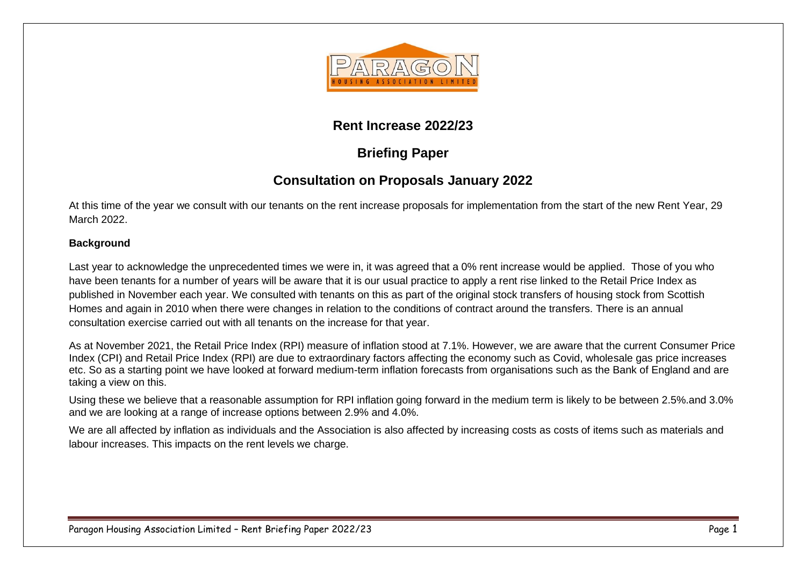

### **Rent Increase 2022/23**

# **Briefing Paper**

## **Consultation on Proposals January 2022**

At this time of the year we consult with our tenants on the rent increase proposals for implementation from the start of the new Rent Year, 29 March 2022.

#### **Background**

Last year to acknowledge the unprecedented times we were in, it was agreed that a 0% rent increase would be applied. Those of you who have been tenants for a number of years will be aware that it is our usual practice to apply a rent rise linked to the Retail Price Index as published in November each year. We consulted with tenants on this as part of the original stock transfers of housing stock from Scottish Homes and again in 2010 when there were changes in relation to the conditions of contract around the transfers. There is an annual consultation exercise carried out with all tenants on the increase for that year.

As at November 2021, the Retail Price Index (RPI) measure of inflation stood at 7.1%. However, we are aware that the current Consumer Price Index (CPI) and Retail Price Index (RPI) are due to extraordinary factors affecting the economy such as Covid, wholesale gas price increases etc. So as a starting point we have looked at forward medium-term inflation forecasts from organisations such as the Bank of England and are taking a view on this.

Using these we believe that a reasonable assumption for RPI inflation going forward in the medium term is likely to be between 2.5%.and 3.0% and we are looking at a range of increase options between 2.9% and 4.0%.

We are all affected by inflation as individuals and the Association is also affected by increasing costs as costs of items such as materials and labour increases. This impacts on the rent levels we charge.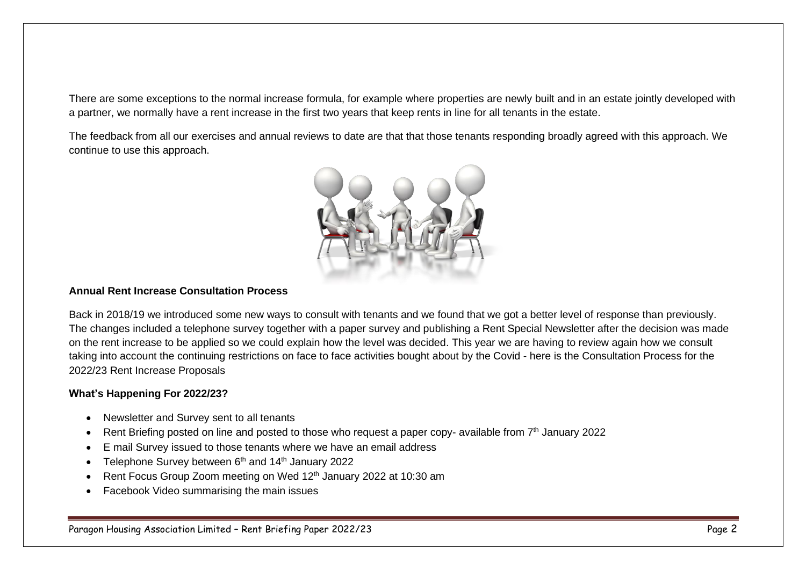There are some exceptions to the normal increase formula, for example where properties are newly built and in an estate jointly developed with a partner, we normally have a rent increase in the first two years that keep rents in line for all tenants in the estate.

The feedback from all our exercises and annual reviews to date are that that those tenants responding broadly agreed with this approach. We continue to use this approach.



#### **Annual Rent Increase Consultation Process**

Back in 2018/19 we introduced some new ways to consult with tenants and we found that we got a better level of response than previously. The changes included a telephone survey together with a paper survey and publishing a Rent Special Newsletter after the decision was made on the rent increase to be applied so we could explain how the level was decided. This year we are having to review again how we consult taking into account the continuing restrictions on face to face activities bought about by the Covid - here is the Consultation Process for the 2022/23 Rent Increase Proposals

#### **What's Happening For 2022/23?**

- Newsletter and Survey sent to all tenants
- Rent Briefing posted on line and posted to those who request a paper copy- available from  $7<sup>th</sup>$  January 2022
- E mail Survey issued to those tenants where we have an email address
- Telephone Survey between 6<sup>th</sup> and 14<sup>th</sup> January 2022
- Rent Focus Group Zoom meeting on Wed 12<sup>th</sup> January 2022 at 10:30 am
- Facebook Video summarising the main issues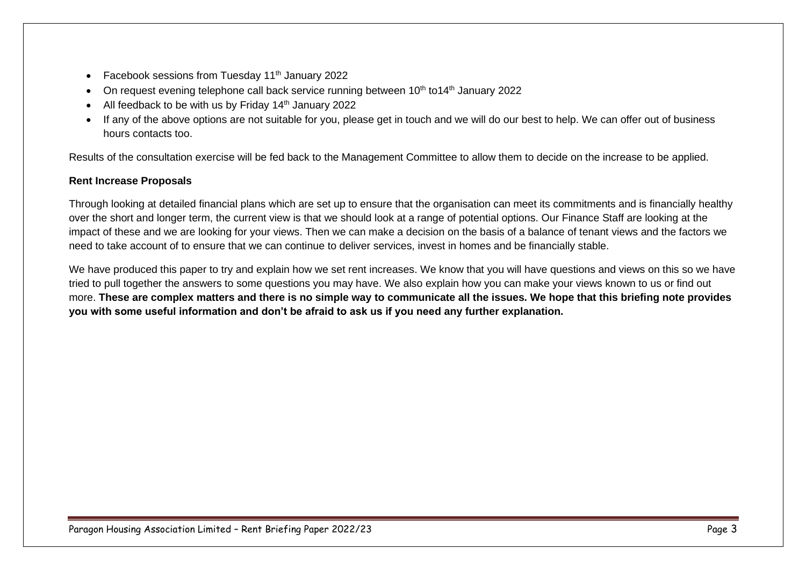- Facebook sessions from Tuesday  $11<sup>th</sup>$  January 2022
- On request evening telephone call back service running between 10<sup>th</sup> to14<sup>th</sup> January 2022
- All feedback to be with us by Friday 14<sup>th</sup> January 2022
- If any of the above options are not suitable for you, please get in touch and we will do our best to help. We can offer out of business hours contacts too.

Results of the consultation exercise will be fed back to the Management Committee to allow them to decide on the increase to be applied.

#### **Rent Increase Proposals**

Through looking at detailed financial plans which are set up to ensure that the organisation can meet its commitments and is financially healthy over the short and longer term, the current view is that we should look at a range of potential options. Our Finance Staff are looking at the impact of these and we are looking for your views. Then we can make a decision on the basis of a balance of tenant views and the factors we need to take account of to ensure that we can continue to deliver services, invest in homes and be financially stable.

We have produced this paper to try and explain how we set rent increases. We know that you will have questions and views on this so we have tried to pull together the answers to some questions you may have. We also explain how you can make your views known to us or find out more. **These are complex matters and there is no simple way to communicate all the issues. We hope that this briefing note provides you with some useful information and don't be afraid to ask us if you need any further explanation.**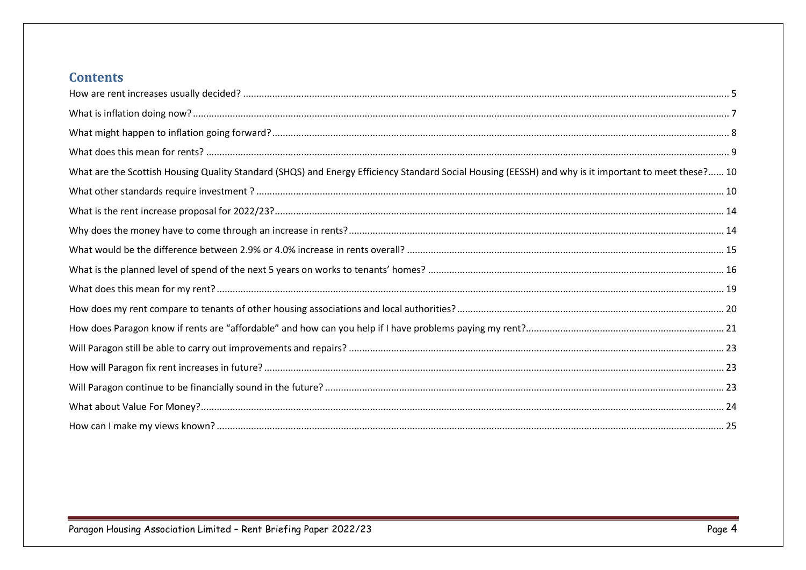### **Contents**

| What are the Scottish Housing Quality Standard (SHQS) and Energy Efficiency Standard Social Housing (EESSH) and why is it important to meet these? 10 |
|-------------------------------------------------------------------------------------------------------------------------------------------------------|
|                                                                                                                                                       |
|                                                                                                                                                       |
|                                                                                                                                                       |
|                                                                                                                                                       |
|                                                                                                                                                       |
|                                                                                                                                                       |
|                                                                                                                                                       |
|                                                                                                                                                       |
|                                                                                                                                                       |
|                                                                                                                                                       |
|                                                                                                                                                       |
|                                                                                                                                                       |
|                                                                                                                                                       |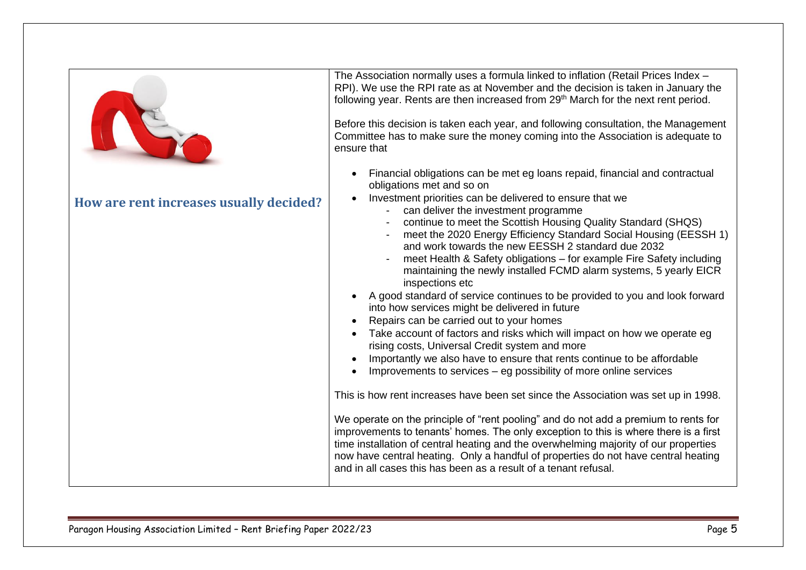<span id="page-4-0"></span>

| NST<br>How are rent increases usually decided? | The Association normally uses a formula linked to inflation (Retail Prices Index -<br>RPI). We use the RPI rate as at November and the decision is taken in January the<br>following year. Rents are then increased from 29th March for the next rent period.<br>Before this decision is taken each year, and following consultation, the Management<br>Committee has to make sure the money coming into the Association is adequate to<br>ensure that<br>Financial obligations can be met eg loans repaid, financial and contractual<br>obligations met and so on<br>Investment priorities can be delivered to ensure that we<br>- can deliver the investment programme<br>continue to meet the Scottish Housing Quality Standard (SHQS)<br>meet the 2020 Energy Efficiency Standard Social Housing (EESSH 1)<br>and work towards the new EESSH 2 standard due 2032<br>meet Health & Safety obligations - for example Fire Safety including<br>maintaining the newly installed FCMD alarm systems, 5 yearly EICR<br>inspections etc<br>A good standard of service continues to be provided to you and look forward<br>into how services might be delivered in future<br>Repairs can be carried out to your homes<br>Take account of factors and risks which will impact on how we operate eg<br>rising costs, Universal Credit system and more<br>Importantly we also have to ensure that rents continue to be affordable<br>Improvements to services – eg possibility of more online services<br>This is how rent increases have been set since the Association was set up in 1998.<br>We operate on the principle of "rent pooling" and do not add a premium to rents for<br>improvements to tenants' homes. The only exception to this is where there is a first<br>time installation of central heating and the overwhelming majority of our properties |
|------------------------------------------------|--------------------------------------------------------------------------------------------------------------------------------------------------------------------------------------------------------------------------------------------------------------------------------------------------------------------------------------------------------------------------------------------------------------------------------------------------------------------------------------------------------------------------------------------------------------------------------------------------------------------------------------------------------------------------------------------------------------------------------------------------------------------------------------------------------------------------------------------------------------------------------------------------------------------------------------------------------------------------------------------------------------------------------------------------------------------------------------------------------------------------------------------------------------------------------------------------------------------------------------------------------------------------------------------------------------------------------------------------------------------------------------------------------------------------------------------------------------------------------------------------------------------------------------------------------------------------------------------------------------------------------------------------------------------------------------------------------------------------------------------------------------------------------------------------------------------------------------------------------------|
|                                                | now have central heating. Only a handful of properties do not have central heating<br>and in all cases this has been as a result of a tenant refusal.                                                                                                                                                                                                                                                                                                                                                                                                                                                                                                                                                                                                                                                                                                                                                                                                                                                                                                                                                                                                                                                                                                                                                                                                                                                                                                                                                                                                                                                                                                                                                                                                                                                                                                        |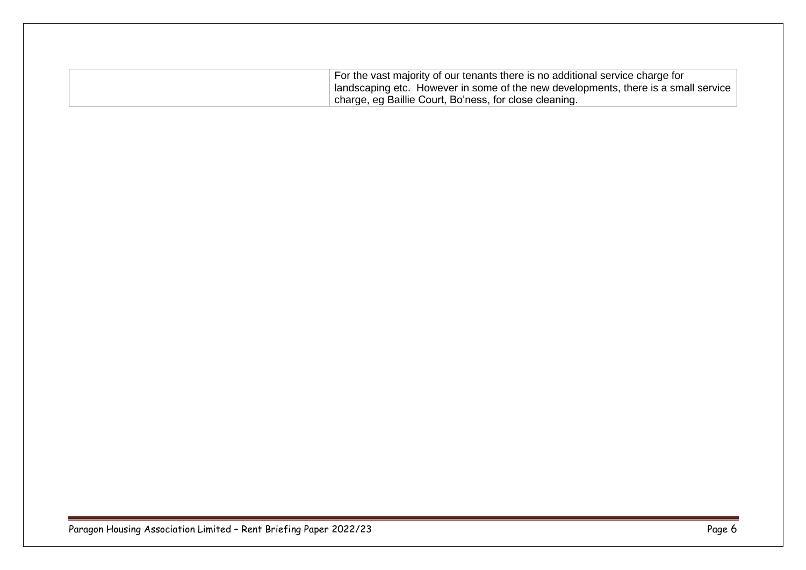| For the vast majority of our tenants there is no additional service charge for    |
|-----------------------------------------------------------------------------------|
| andscaping etc. However in some of the new developments, there is a small service |
| I charge, eg Baillie Court, Bo'ness, for close cleaning.                          |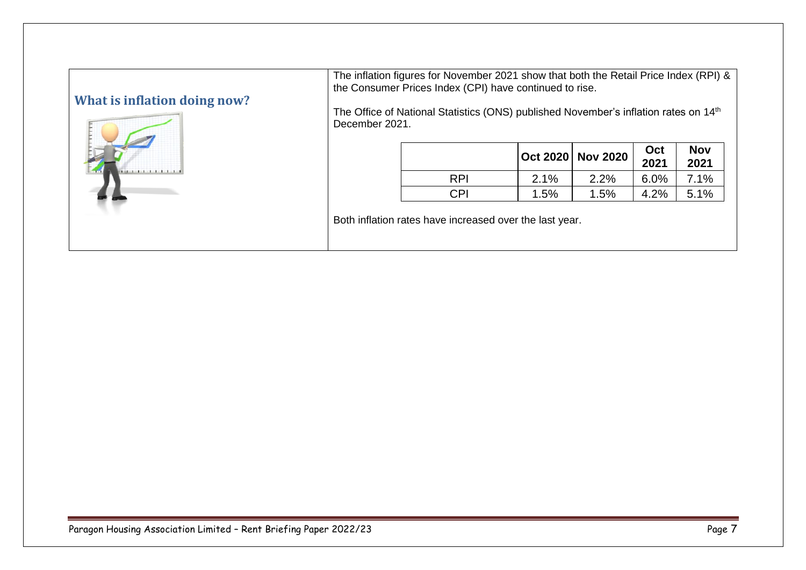## <span id="page-6-0"></span>**What is inflation doing now?**



The inflation figures for November 2021 show that both the Retail Price Index (RPI) & the Consumer Prices Index (CPI) have continued to rise.

The Office of National Statistics (ONS) published November's inflation rates on 14<sup>th</sup> December 2021.

|            |      | Oct 2020 Nov 2020 | Oct<br>2021 | <b>Nov</b><br>2021 |
|------------|------|-------------------|-------------|--------------------|
| <b>RPI</b> | 2.1% | 2.2%              | 6.0%        | 7.1%               |
| CPI.       | 1.5% | $1.5\%$           | 4.2%        | 5.1%               |

Both inflation rates have increased over the last year.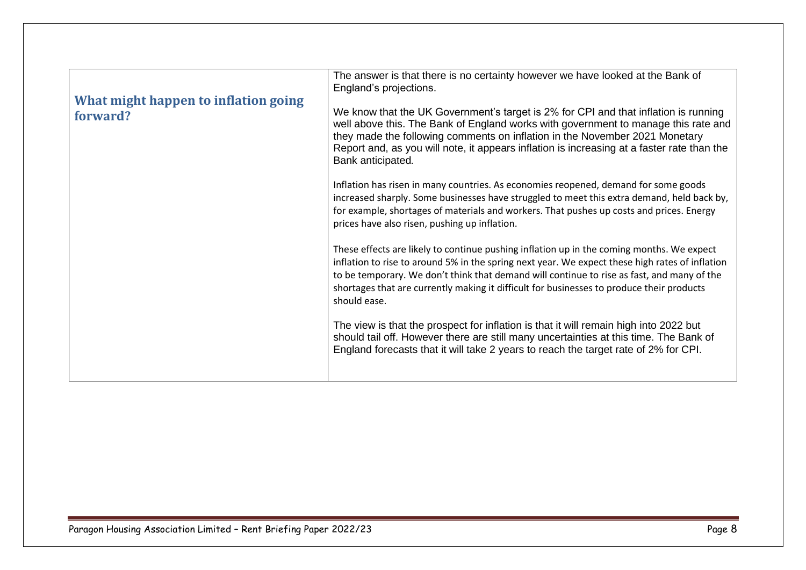<span id="page-7-0"></span>

| What might happen to inflation going<br>forward? | The answer is that there is no certainty however we have looked at the Bank of<br>England's projections.<br>We know that the UK Government's target is 2% for CPI and that inflation is running<br>well above this. The Bank of England works with government to manage this rate and<br>they made the following comments on inflation in the November 2021 Monetary<br>Report and, as you will note, it appears inflation is increasing at a faster rate than the<br>Bank anticipated.<br>Inflation has risen in many countries. As economies reopened, demand for some goods<br>increased sharply. Some businesses have struggled to meet this extra demand, held back by,<br>for example, shortages of materials and workers. That pushes up costs and prices. Energy<br>prices have also risen, pushing up inflation.<br>These effects are likely to continue pushing inflation up in the coming months. We expect<br>inflation to rise to around 5% in the spring next year. We expect these high rates of inflation<br>to be temporary. We don't think that demand will continue to rise as fast, and many of the |
|--------------------------------------------------|-------------------------------------------------------------------------------------------------------------------------------------------------------------------------------------------------------------------------------------------------------------------------------------------------------------------------------------------------------------------------------------------------------------------------------------------------------------------------------------------------------------------------------------------------------------------------------------------------------------------------------------------------------------------------------------------------------------------------------------------------------------------------------------------------------------------------------------------------------------------------------------------------------------------------------------------------------------------------------------------------------------------------------------------------------------------------------------------------------------------------|
|                                                  | shortages that are currently making it difficult for businesses to produce their products<br>should ease.<br>The view is that the prospect for inflation is that it will remain high into 2022 but<br>should tail off. However there are still many uncertainties at this time. The Bank of<br>England forecasts that it will take 2 years to reach the target rate of 2% for CPI.                                                                                                                                                                                                                                                                                                                                                                                                                                                                                                                                                                                                                                                                                                                                      |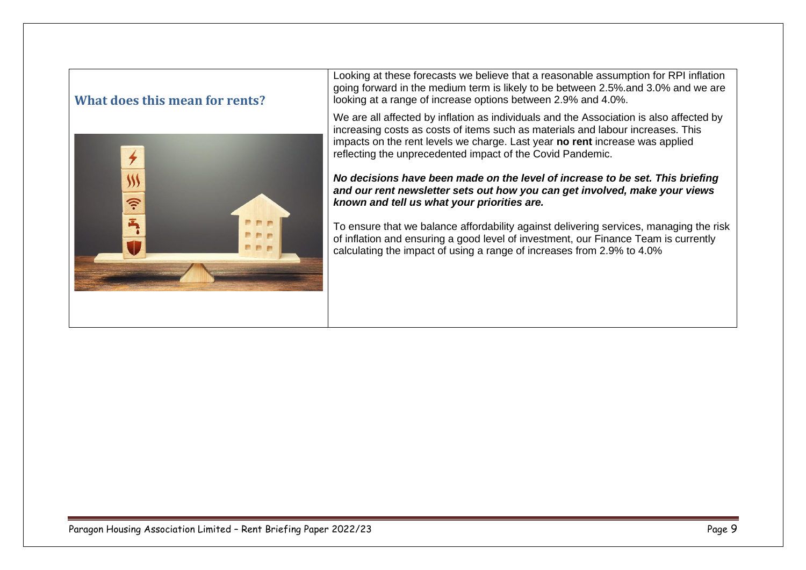### <span id="page-8-0"></span>**What does this mean for rents?**



Looking at these forecasts we believe that a reasonable assumption for RPI inflation going forward in the medium term is likely to be between 2.5%.and 3.0% and we are looking at a range of increase options between 2.9% and 4.0%.

We are all affected by inflation as individuals and the Association is also affected by increasing costs as costs of items such as materials and labour increases. This impacts on the rent levels we charge. Last year **no rent** increase was applied reflecting the unprecedented impact of the Covid Pandemic.

*No decisions have been made on the level of increase to be set. This briefing and our rent newsletter sets out how you can get involved, make your views known and tell us what your priorities are.*

To ensure that we balance affordability against delivering services, managing the risk of inflation and ensuring a good level of investment, our Finance Team is currently calculating the impact of using a range of increases from 2.9% to 4.0%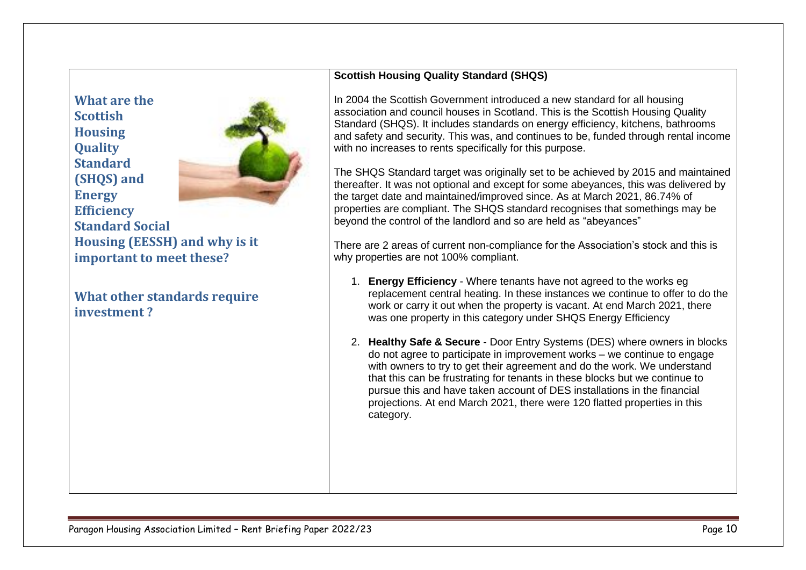<span id="page-9-0"></span>**What are the Scottish Housing Quality Standard (SHQS) and Energy Efficiency Standard Social Housing (EESSH) and why is it important to meet these?**

<span id="page-9-1"></span>**What other standards require investment ?**

#### **Scottish Housing Quality Standard (SHQS)**

In 2004 the Scottish Government introduced a new standard for all housing association and council houses in Scotland. This is the Scottish Housing Quality Standard (SHQS). It includes standards on energy efficiency, kitchens, bathrooms and safety and security. This was, and continues to be, funded through rental income with no increases to rents specifically for this purpose.

The SHQS Standard target was originally set to be achieved by 2015 and maintained thereafter. It was not optional and except for some abeyances, this was delivered by the target date and maintained/improved since. As at March 2021, 86.74% of properties are compliant. The SHQS standard recognises that somethings may be beyond the control of the landlord and so are held as "abeyances"

There are 2 areas of current non-compliance for the Association's stock and this is why properties are not 100% compliant.

- 1. **Energy Efficiency** Where tenants have not agreed to the works eg replacement central heating. In these instances we continue to offer to do the work or carry it out when the property is vacant. At end March 2021, there was one property in this category under SHQS Energy Efficiency
- 2. **Healthy Safe & Secure** Door Entry Systems (DES) where owners in blocks do not agree to participate in improvement works – we continue to engage with owners to try to get their agreement and do the work. We understand that this can be frustrating for tenants in these blocks but we continue to pursue this and have taken account of DES installations in the financial projections. At end March 2021, there were 120 flatted properties in this category.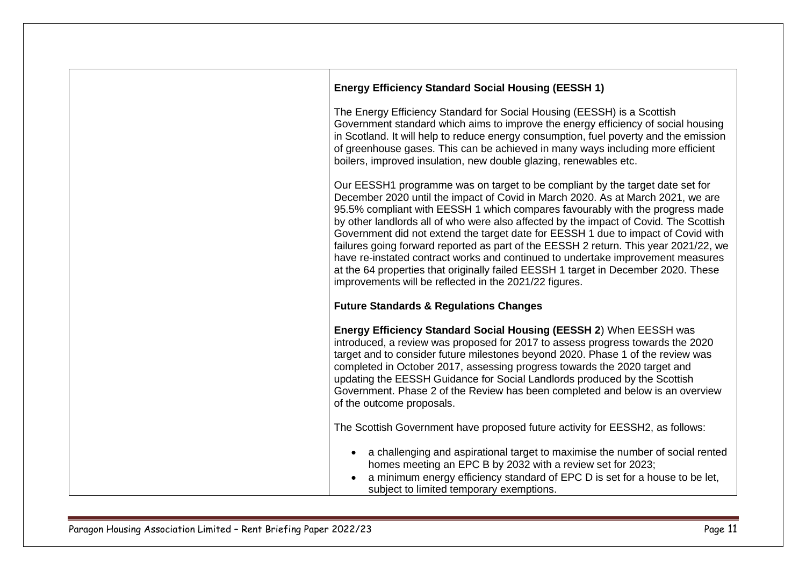| <b>Energy Efficiency Standard Social Housing (EESSH 1)</b>                                                                                                                                                                                                                                                                                                                                                                                                                                                                                                                                                                                                                                                                                                 |
|------------------------------------------------------------------------------------------------------------------------------------------------------------------------------------------------------------------------------------------------------------------------------------------------------------------------------------------------------------------------------------------------------------------------------------------------------------------------------------------------------------------------------------------------------------------------------------------------------------------------------------------------------------------------------------------------------------------------------------------------------------|
| The Energy Efficiency Standard for Social Housing (EESSH) is a Scottish<br>Government standard which aims to improve the energy efficiency of social housing<br>in Scotland. It will help to reduce energy consumption, fuel poverty and the emission<br>of greenhouse gases. This can be achieved in many ways including more efficient<br>boilers, improved insulation, new double glazing, renewables etc.                                                                                                                                                                                                                                                                                                                                              |
| Our EESSH1 programme was on target to be compliant by the target date set for<br>December 2020 until the impact of Covid in March 2020. As at March 2021, we are<br>95.5% compliant with EESSH 1 which compares favourably with the progress made<br>by other landlords all of who were also affected by the impact of Covid. The Scottish<br>Government did not extend the target date for EESSH 1 due to impact of Covid with<br>failures going forward reported as part of the EESSH 2 return. This year 2021/22, we<br>have re-instated contract works and continued to undertake improvement measures<br>at the 64 properties that originally failed EESSH 1 target in December 2020. These<br>improvements will be reflected in the 2021/22 figures. |
| <b>Future Standards &amp; Regulations Changes</b>                                                                                                                                                                                                                                                                                                                                                                                                                                                                                                                                                                                                                                                                                                          |
| Energy Efficiency Standard Social Housing (EESSH 2) When EESSH was<br>introduced, a review was proposed for 2017 to assess progress towards the 2020<br>target and to consider future milestones beyond 2020. Phase 1 of the review was<br>completed in October 2017, assessing progress towards the 2020 target and<br>updating the EESSH Guidance for Social Landlords produced by the Scottish<br>Government. Phase 2 of the Review has been completed and below is an overview<br>of the outcome proposals.                                                                                                                                                                                                                                            |
| The Scottish Government have proposed future activity for EESSH2, as follows:                                                                                                                                                                                                                                                                                                                                                                                                                                                                                                                                                                                                                                                                              |
| a challenging and aspirational target to maximise the number of social rented<br>homes meeting an EPC B by 2032 with a review set for 2023;<br>a minimum energy efficiency standard of EPC D is set for a house to be let,<br>subject to limited temporary exemptions.                                                                                                                                                                                                                                                                                                                                                                                                                                                                                     |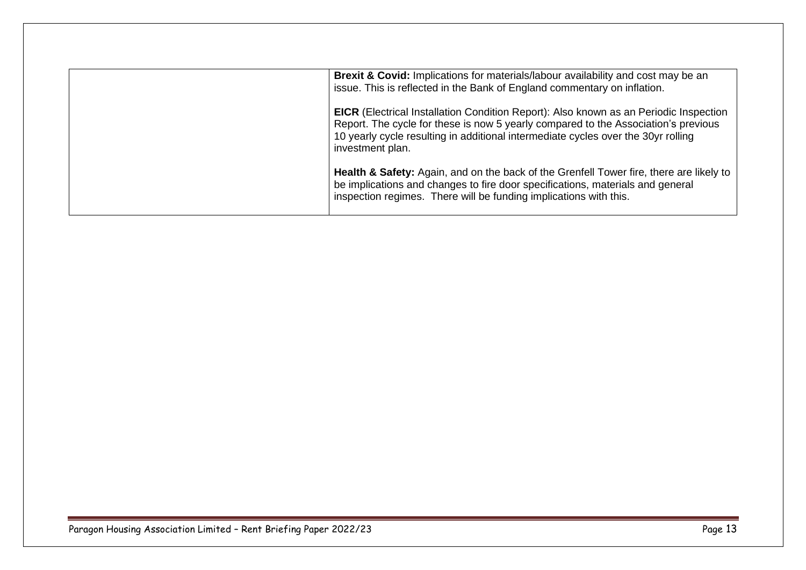| <b>Brexit &amp; Covid:</b> Implications for materials/labour availability and cost may be an<br>issue. This is reflected in the Bank of England commentary on inflation.                                                                                                                    |
|---------------------------------------------------------------------------------------------------------------------------------------------------------------------------------------------------------------------------------------------------------------------------------------------|
| <b>EICR</b> (Electrical Installation Condition Report): Also known as an Periodic Inspection<br>Report. The cycle for these is now 5 yearly compared to the Association's previous<br>10 yearly cycle resulting in additional intermediate cycles over the 30yr rolling<br>investment plan. |
| <b>Health &amp; Safety:</b> Again, and on the back of the Grenfell Tower fire, there are likely to<br>be implications and changes to fire door specifications, materials and general<br>inspection regimes. There will be funding implications with this.                                   |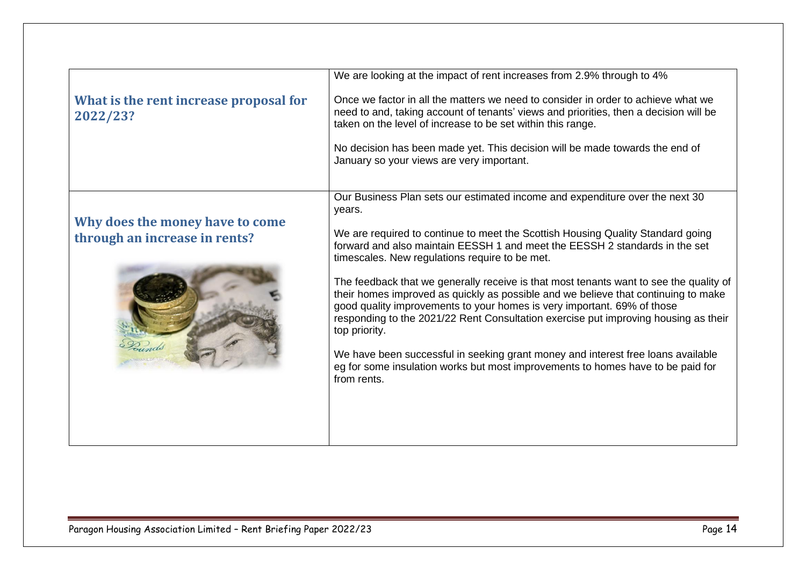<span id="page-13-1"></span><span id="page-13-0"></span>

|                                                                                                            | No decision has been made yet. This decision will be made towards the end of                                                                                                                                                                                                                                                                                                                                                                                                                                                                                                                                                                                                                                                                                                                                                                                           |
|------------------------------------------------------------------------------------------------------------|------------------------------------------------------------------------------------------------------------------------------------------------------------------------------------------------------------------------------------------------------------------------------------------------------------------------------------------------------------------------------------------------------------------------------------------------------------------------------------------------------------------------------------------------------------------------------------------------------------------------------------------------------------------------------------------------------------------------------------------------------------------------------------------------------------------------------------------------------------------------|
| years.<br>Why does the money have to come<br>through an increase in rents?<br>top priority.<br>from rents. | January so your views are very important.<br>Our Business Plan sets our estimated income and expenditure over the next 30<br>We are required to continue to meet the Scottish Housing Quality Standard going<br>forward and also maintain EESSH 1 and meet the EESSH 2 standards in the set<br>timescales. New regulations require to be met.<br>The feedback that we generally receive is that most tenants want to see the quality of<br>their homes improved as quickly as possible and we believe that continuing to make<br>good quality improvements to your homes is very important. 69% of those<br>responding to the 2021/22 Rent Consultation exercise put improving housing as their<br>We have been successful in seeking grant money and interest free loans available<br>eg for some insulation works but most improvements to homes have to be paid for |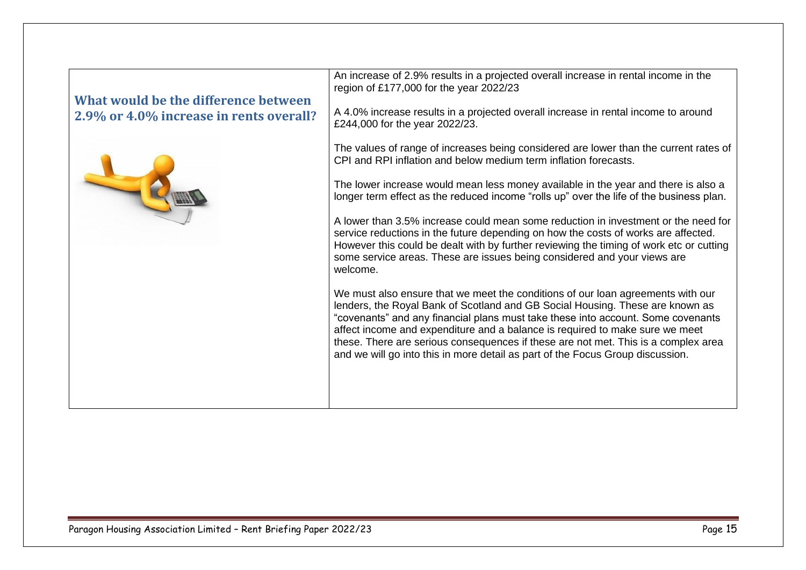<span id="page-14-0"></span>

| What would be the difference between<br>2.9% or 4.0% increase in rents overall? | An increase of 2.9% results in a projected overall increase in rental income in the<br>region of £177,000 for the year 2022/23<br>A 4.0% increase results in a projected overall increase in rental income to around<br>£244,000 for the year 2022/23.                                                                                                         |
|---------------------------------------------------------------------------------|----------------------------------------------------------------------------------------------------------------------------------------------------------------------------------------------------------------------------------------------------------------------------------------------------------------------------------------------------------------|
|                                                                                 | The values of range of increases being considered are lower than the current rates of<br>CPI and RPI inflation and below medium term inflation forecasts.<br>The lower increase would mean less money available in the year and there is also a                                                                                                                |
|                                                                                 | longer term effect as the reduced income "rolls up" over the life of the business plan.<br>A lower than 3.5% increase could mean some reduction in investment or the need for<br>service reductions in the future depending on how the costs of works are affected.<br>However this could be dealt with by further reviewing the timing of work etc or cutting |
|                                                                                 | some service areas. These are issues being considered and your views are<br>welcome.<br>We must also ensure that we meet the conditions of our loan agreements with our<br>lenders, the Royal Bank of Scotland and GB Social Housing. These are known as                                                                                                       |
|                                                                                 | "covenants" and any financial plans must take these into account. Some covenants<br>affect income and expenditure and a balance is required to make sure we meet<br>these. There are serious consequences if these are not met. This is a complex area<br>and we will go into this in more detail as part of the Focus Group discussion.                       |
|                                                                                 |                                                                                                                                                                                                                                                                                                                                                                |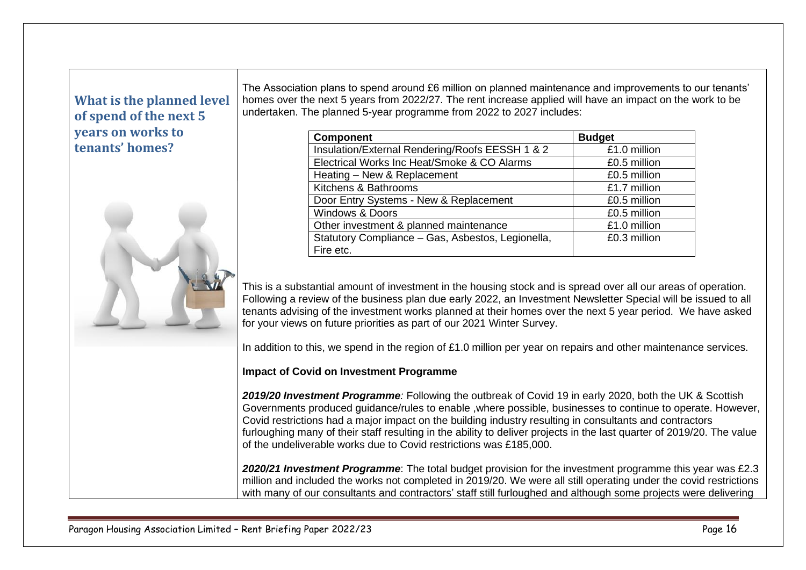## <span id="page-15-0"></span>**What is the planned level of spend of the next 5 years on works to tenants' homes?**



The Association plans to spend around £6 million on planned maintenance and improvements to our tenants' homes over the next 5 years from 2022/27. The rent increase applied will have an impact on the work to be undertaken. The planned 5-year programme from 2022 to 2027 includes:

| <b>Component</b>                                  | <b>Budget</b> |
|---------------------------------------------------|---------------|
| Insulation/External Rendering/Roofs EESSH 1 & 2   | £1.0 million  |
| Electrical Works Inc Heat/Smoke & CO Alarms       | £0.5 million  |
| Heating - New & Replacement                       | £0.5 million  |
| Kitchens & Bathrooms                              | £1.7 million  |
| Door Entry Systems - New & Replacement            | £0.5 million  |
| <b>Windows &amp; Doors</b>                        | £0.5 million  |
| Other investment & planned maintenance            | £1.0 million  |
| Statutory Compliance - Gas, Asbestos, Legionella, | £0.3 million  |
| Fire etc.                                         |               |

This is a substantial amount of investment in the housing stock and is spread over all our areas of operation. Following a review of the business plan due early 2022, an Investment Newsletter Special will be issued to all tenants advising of the investment works planned at their homes over the next 5 year period. We have asked for your views on future priorities as part of our 2021 Winter Survey.

In addition to this, we spend in the region of £1.0 million per year on repairs and other maintenance services.

### **Impact of Covid on Investment Programme**

*2019/20 Investment Programme:* Following the outbreak of Covid 19 in early 2020, both the UK & Scottish Governments produced guidance/rules to enable ,where possible, businesses to continue to operate. However, Covid restrictions had a major impact on the building industry resulting in consultants and contractors furloughing many of their staff resulting in the ability to deliver projects in the last quarter of 2019/20. The value of the undeliverable works due to Covid restrictions was £185,000.

*2020/21 Investment Programme*: The total budget provision for the investment programme this year was £2.3 million and included the works not completed in 2019/20. We were all still operating under the covid restrictions with many of our consultants and contractors' staff still furloughed and although some projects were delivering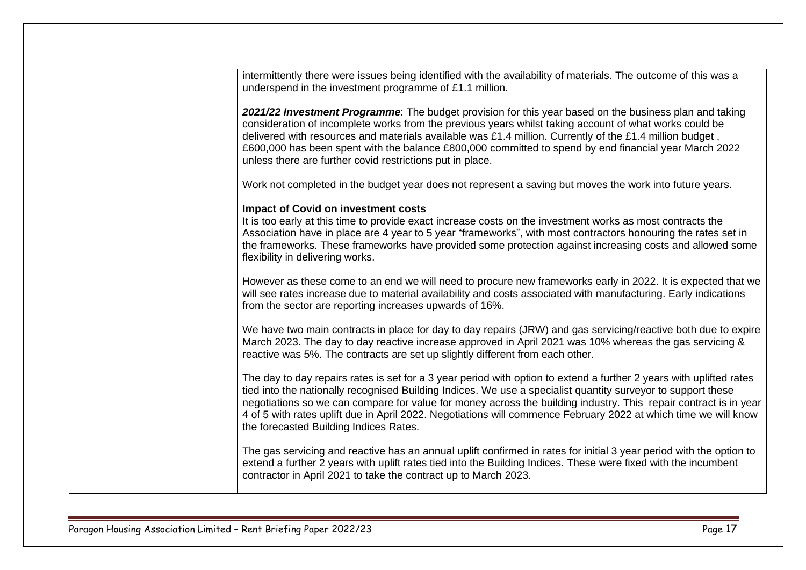| intermittently there were issues being identified with the availability of materials. The outcome of this was a<br>underspend in the investment programme of £1.1 million.                                                                                                                                                                                                                                                                                                                                           |
|----------------------------------------------------------------------------------------------------------------------------------------------------------------------------------------------------------------------------------------------------------------------------------------------------------------------------------------------------------------------------------------------------------------------------------------------------------------------------------------------------------------------|
| 2021/22 Investment Programme: The budget provision for this year based on the business plan and taking<br>consideration of incomplete works from the previous years whilst taking account of what works could be<br>delivered with resources and materials available was £1.4 million. Currently of the £1.4 million budget,<br>£600,000 has been spent with the balance £800,000 committed to spend by end financial year March 2022<br>unless there are further covid restrictions put in place.                   |
| Work not completed in the budget year does not represent a saving but moves the work into future years.                                                                                                                                                                                                                                                                                                                                                                                                              |
| <b>Impact of Covid on investment costs</b><br>It is too early at this time to provide exact increase costs on the investment works as most contracts the<br>Association have in place are 4 year to 5 year "frameworks", with most contractors honouring the rates set in<br>the frameworks. These frameworks have provided some protection against increasing costs and allowed some<br>flexibility in delivering works.                                                                                            |
| However as these come to an end we will need to procure new frameworks early in 2022. It is expected that we<br>will see rates increase due to material availability and costs associated with manufacturing. Early indications<br>from the sector are reporting increases upwards of 16%.                                                                                                                                                                                                                           |
| We have two main contracts in place for day to day repairs (JRW) and gas servicing/reactive both due to expire<br>March 2023. The day to day reactive increase approved in April 2021 was 10% whereas the gas servicing &<br>reactive was 5%. The contracts are set up slightly different from each other.                                                                                                                                                                                                           |
| The day to day repairs rates is set for a 3 year period with option to extend a further 2 years with uplifted rates<br>tied into the nationally recognised Building Indices. We use a specialist quantity surveyor to support these<br>negotiations so we can compare for value for money across the building industry. This repair contract is in year<br>4 of 5 with rates uplift due in April 2022. Negotiations will commence February 2022 at which time we will know<br>the forecasted Building Indices Rates. |
| The gas servicing and reactive has an annual uplift confirmed in rates for initial 3 year period with the option to<br>extend a further 2 years with uplift rates tied into the Building Indices. These were fixed with the incumbent<br>contractor in April 2021 to take the contract up to March 2023.                                                                                                                                                                                                             |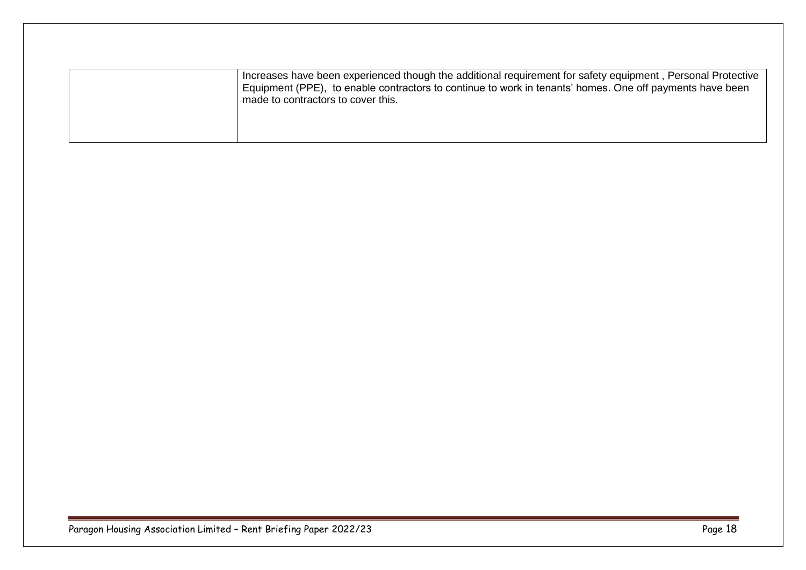| Increases have been experienced though the additional requirement for safety equipment, Personal Protective<br>Equipment (PPE), to enable contractors to continue to work in tenants' homes. One off payments have been<br>made to contractors to cover this. |
|---------------------------------------------------------------------------------------------------------------------------------------------------------------------------------------------------------------------------------------------------------------|
|                                                                                                                                                                                                                                                               |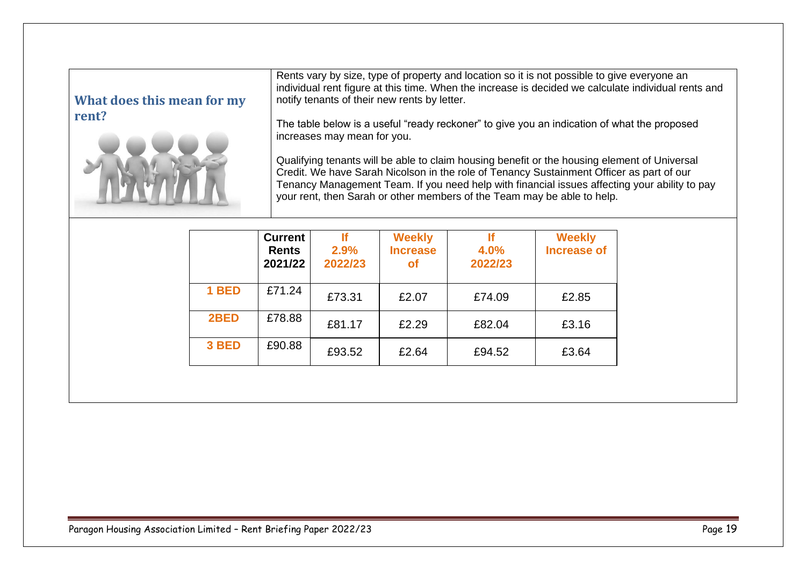<span id="page-18-0"></span>

| What does this mean for my | Rents vary by size, type of property and location so it is not possible to give everyone an<br>individual rent figure at this time. When the increase is decided we calculate individual rents and<br>notify tenants of their new rents by letter.                                                                                                                   |
|----------------------------|----------------------------------------------------------------------------------------------------------------------------------------------------------------------------------------------------------------------------------------------------------------------------------------------------------------------------------------------------------------------|
| rent?                      | The table below is a useful "ready reckoner" to give you an indication of what the proposed<br>increases may mean for you.                                                                                                                                                                                                                                           |
|                            | Qualifying tenants will be able to claim housing benefit or the housing element of Universal<br>Credit. We have Sarah Nicolson in the role of Tenancy Sustainment Officer as part of our<br>Tenancy Management Team. If you need help with financial issues affecting your ability to pay<br>your rent, then Sarah or other members of the Team may be able to help. |

|       | <b>Current</b><br><b>Rents</b><br>2021/22 | 2.9%<br>2022/23 | <b>Weekly</b><br><b>Increase</b><br><b>of</b> | 4.0%<br>2022/23 | <b>Weekly</b><br><b>Increase of</b> |
|-------|-------------------------------------------|-----------------|-----------------------------------------------|-----------------|-------------------------------------|
| 1 BED | £71.24                                    | £73.31          | £2.07                                         | £74.09          | £2.85                               |
| 2BED  | £78.88                                    | £81.17          | £2.29                                         | £82.04          | £3.16                               |
| 3 BED | £90.88                                    | £93.52          | £2.64                                         | £94.52          | £3.64                               |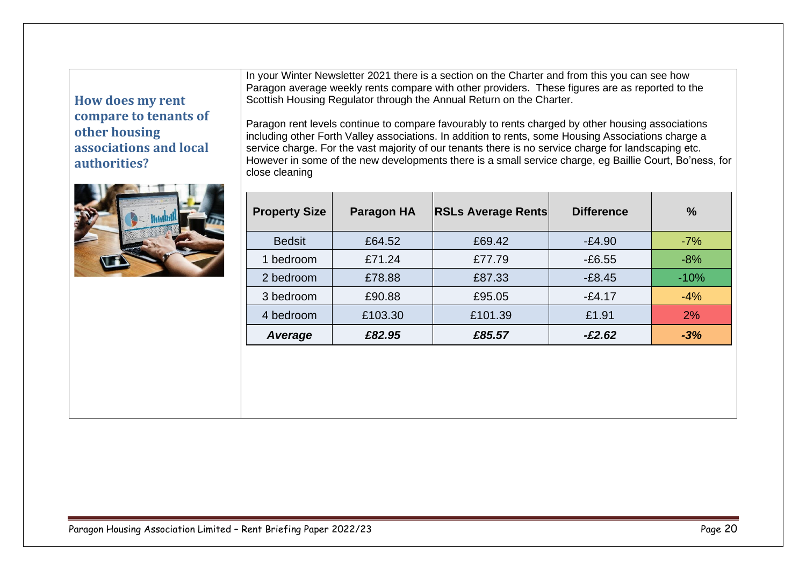<span id="page-19-0"></span>**How does my rent compare to tenants of other housing associations and local authorities?**



In your Winter Newsletter 2021 there is a section on the Charter and from this you can see how Paragon average weekly rents compare with other providers. These figures are as reported to the Scottish Housing Regulator through the Annual Return on the Charter.

Paragon rent levels continue to compare favourably to rents charged by other housing associations including other Forth Valley associations. In addition to rents, some Housing Associations charge a service charge. For the vast majority of our tenants there is no service charge for landscaping etc. However in some of the new developments there is a small service charge, eg Baillie Court, Bo'ness, for close cleaning

| <b>Property Size</b> | <b>Paragon HA</b> | <b>RSLs Average Rents</b> | <b>Difference</b> | $\frac{0}{0}$ |
|----------------------|-------------------|---------------------------|-------------------|---------------|
| <b>Bedsit</b>        | £64.52            | £69.42                    | $-£4.90$          | $-7%$         |
| 1 bedroom            | £71.24            | £77.79                    | $-£6.55$          | $-8%$         |
| 2 bedroom            | £78.88            | £87.33                    | $-E8.45$          | $-10%$        |
| 3 bedroom            | £90.88            | £95.05                    | $-£4.17$          | $-4%$         |
| 4 bedroom            | £103.30           | £101.39                   | £1.91             | 2%            |
| Average              | £82.95            | £85.57                    | $-£2.62$          | $-3%$         |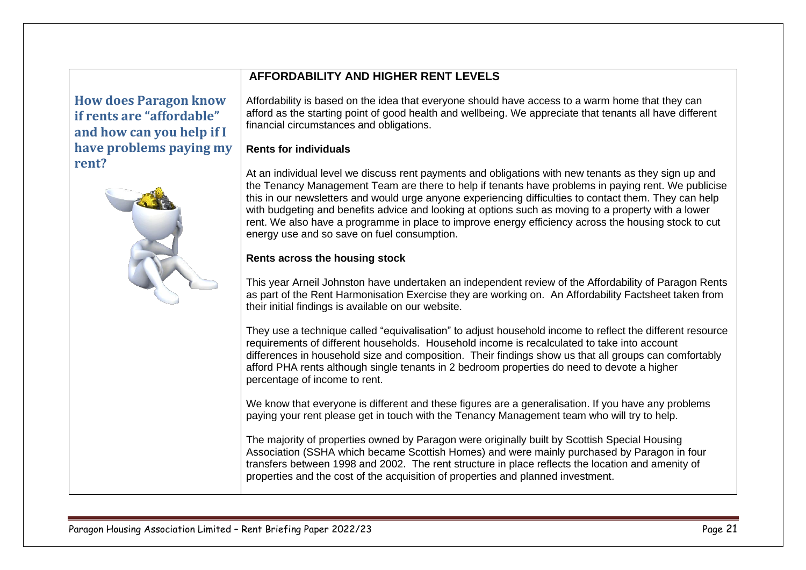## <span id="page-20-0"></span>**How does Paragon know if rents are "affordable" and how can you help if I have problems paying my rent?**



### **AFFORDABILITY AND HIGHER RENT LEVELS**

Affordability is based on the idea that everyone should have access to a warm home that they can afford as the starting point of good health and wellbeing. We appreciate that tenants all have different financial circumstances and obligations.

### **Rents for individuals**

At an individual level we discuss rent payments and obligations with new tenants as they sign up and the Tenancy Management Team are there to help if tenants have problems in paying rent. We publicise this in our newsletters and would urge anyone experiencing difficulties to contact them. They can help with budgeting and benefits advice and looking at options such as moving to a property with a lower rent. We also have a programme in place to improve energy efficiency across the housing stock to cut energy use and so save on fuel consumption.

### **Rents across the housing stock**

This year Arneil Johnston have undertaken an independent review of the Affordability of Paragon Rents as part of the Rent Harmonisation Exercise they are working on. An Affordability Factsheet taken from their initial findings is available on our website.

They use a technique called "equivalisation" to adiust household income to reflect the different resource requirements of different households. Household income is recalculated to take into account differences in household size and composition. Their findings show us that all groups can comfortably afford PHA rents although single tenants in 2 bedroom properties do need to devote a higher percentage of income to rent.

We know that everyone is different and these figures are a generalisation. If you have any problems paying your rent please get in touch with the Tenancy Management team who will try to help.

The majority of properties owned by Paragon were originally built by Scottish Special Housing Association (SSHA which became Scottish Homes) and were mainly purchased by Paragon in four transfers between 1998 and 2002. The rent structure in place reflects the location and amenity of properties and the cost of the acquisition of properties and planned investment.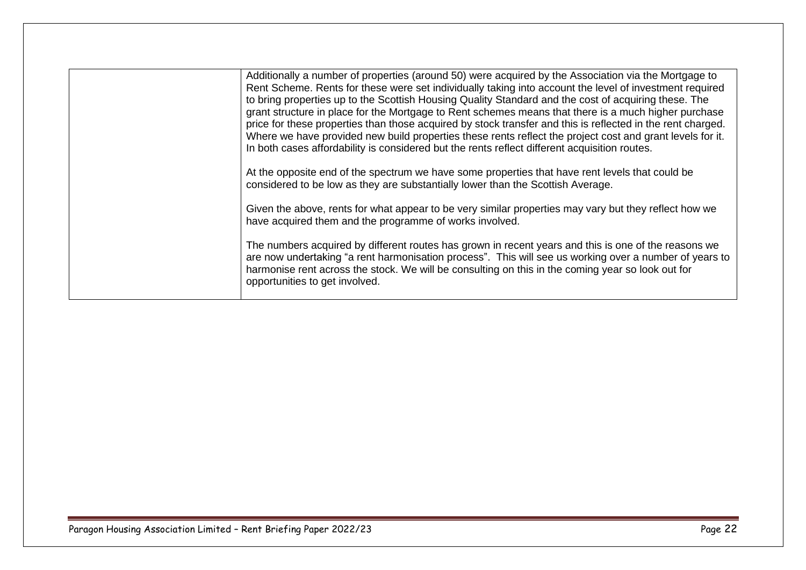| Additionally a number of properties (around 50) were acquired by the Association via the Mortgage to<br>Rent Scheme. Rents for these were set individually taking into account the level of investment required<br>to bring properties up to the Scottish Housing Quality Standard and the cost of acquiring these. The<br>grant structure in place for the Mortgage to Rent schemes means that there is a much higher purchase<br>price for these properties than those acquired by stock transfer and this is reflected in the rent charged.<br>Where we have provided new build properties these rents reflect the project cost and grant levels for it.<br>In both cases affordability is considered but the rents reflect different acquisition routes.<br>At the opposite end of the spectrum we have some properties that have rent levels that could be<br>considered to be low as they are substantially lower than the Scottish Average.<br>Given the above, rents for what appear to be very similar properties may vary but they reflect how we<br>have acquired them and the programme of works involved.<br>The numbers acquired by different routes has grown in recent years and this is one of the reasons we<br>are now undertaking "a rent harmonisation process". This will see us working over a number of years to |
|------------------------------------------------------------------------------------------------------------------------------------------------------------------------------------------------------------------------------------------------------------------------------------------------------------------------------------------------------------------------------------------------------------------------------------------------------------------------------------------------------------------------------------------------------------------------------------------------------------------------------------------------------------------------------------------------------------------------------------------------------------------------------------------------------------------------------------------------------------------------------------------------------------------------------------------------------------------------------------------------------------------------------------------------------------------------------------------------------------------------------------------------------------------------------------------------------------------------------------------------------------------------------------------------------------------------------------------|
| harmonise rent across the stock. We will be consulting on this in the coming year so look out for<br>opportunities to get involved.                                                                                                                                                                                                                                                                                                                                                                                                                                                                                                                                                                                                                                                                                                                                                                                                                                                                                                                                                                                                                                                                                                                                                                                                      |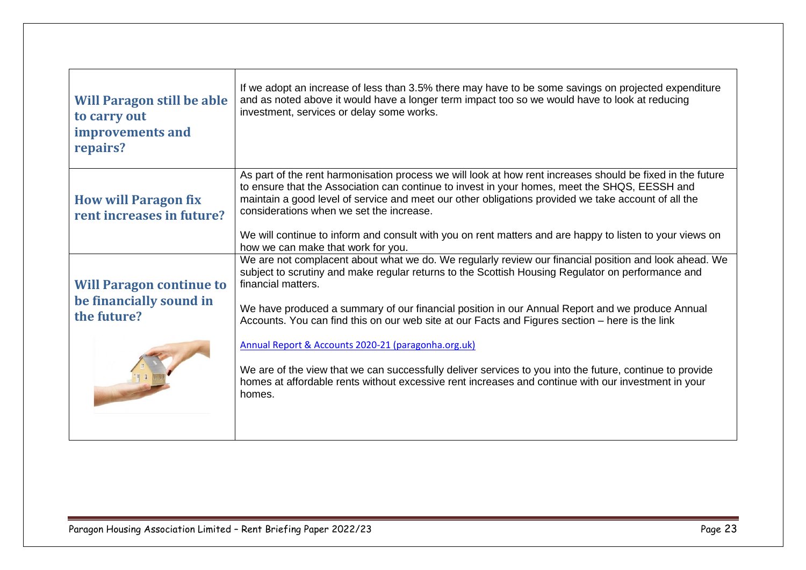<span id="page-22-2"></span><span id="page-22-1"></span><span id="page-22-0"></span>

| <b>Will Paragon still be able</b><br>to carry out<br>improvements and<br>repairs? | If we adopt an increase of less than 3.5% there may have to be some savings on projected expenditure<br>and as noted above it would have a longer term impact too so we would have to look at reducing<br>investment, services or delay some works.                                                                                                                                                                                                                                                                                                                                                                                                                                                                        |
|-----------------------------------------------------------------------------------|----------------------------------------------------------------------------------------------------------------------------------------------------------------------------------------------------------------------------------------------------------------------------------------------------------------------------------------------------------------------------------------------------------------------------------------------------------------------------------------------------------------------------------------------------------------------------------------------------------------------------------------------------------------------------------------------------------------------------|
| <b>How will Paragon fix</b><br>rent increases in future?                          | As part of the rent harmonisation process we will look at how rent increases should be fixed in the future<br>to ensure that the Association can continue to invest in your homes, meet the SHQS, EESSH and<br>maintain a good level of service and meet our other obligations provided we take account of all the<br>considerations when we set the increase.<br>We will continue to inform and consult with you on rent matters and are happy to listen to your views on<br>how we can make that work for you.                                                                                                                                                                                                           |
| <b>Will Paragon continue to</b><br>be financially sound in<br>the future?         | We are not complacent about what we do. We regularly review our financial position and look ahead. We<br>subject to scrutiny and make regular returns to the Scottish Housing Regulator on performance and<br>financial matters.<br>We have produced a summary of our financial position in our Annual Report and we produce Annual<br>Accounts. You can find this on our web site at our Facts and Figures section - here is the link<br>Annual Report & Accounts 2020-21 (paragonha.org.uk)<br>We are of the view that we can successfully deliver services to you into the future, continue to provide<br>homes at affordable rents without excessive rent increases and continue with our investment in your<br>homes. |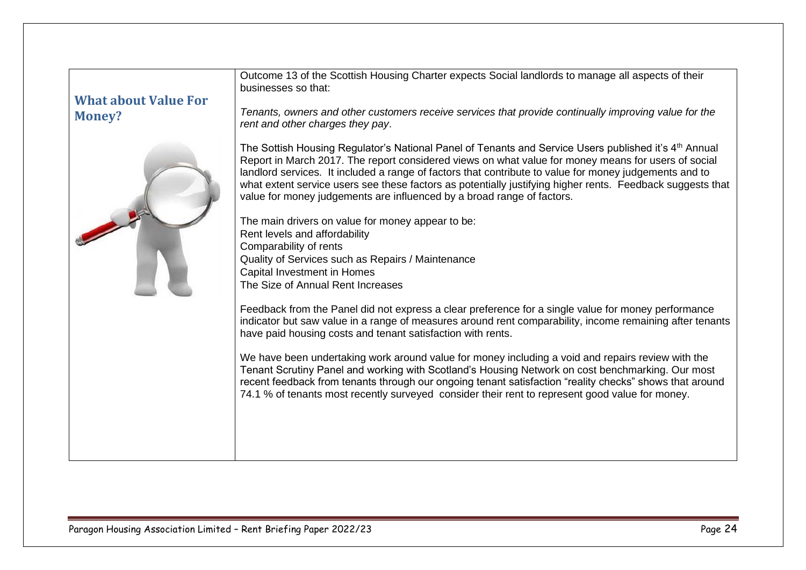<span id="page-23-0"></span>

| <b>What about Value For</b><br><b>Money?</b> | Outcome 13 of the Scottish Housing Charter expects Social landlords to manage all aspects of their<br>businesses so that:<br>Tenants, owners and other customers receive services that provide continually improving value for the<br>rent and other charges they pay.                                                                                                                                                                                                                                           |
|----------------------------------------------|------------------------------------------------------------------------------------------------------------------------------------------------------------------------------------------------------------------------------------------------------------------------------------------------------------------------------------------------------------------------------------------------------------------------------------------------------------------------------------------------------------------|
|                                              | The Sottish Housing Regulator's National Panel of Tenants and Service Users published it's $4th$ Annual<br>Report in March 2017. The report considered views on what value for money means for users of social<br>landlord services. It included a range of factors that contribute to value for money judgements and to<br>what extent service users see these factors as potentially justifying higher rents. Feedback suggests that<br>value for money judgements are influenced by a broad range of factors. |
|                                              | The main drivers on value for money appear to be:                                                                                                                                                                                                                                                                                                                                                                                                                                                                |
|                                              | Rent levels and affordability                                                                                                                                                                                                                                                                                                                                                                                                                                                                                    |
|                                              | Comparability of rents<br>Quality of Services such as Repairs / Maintenance                                                                                                                                                                                                                                                                                                                                                                                                                                      |
|                                              | Capital Investment in Homes                                                                                                                                                                                                                                                                                                                                                                                                                                                                                      |
|                                              | The Size of Annual Rent Increases                                                                                                                                                                                                                                                                                                                                                                                                                                                                                |
|                                              | Feedback from the Panel did not express a clear preference for a single value for money performance<br>indicator but saw value in a range of measures around rent comparability, income remaining after tenants<br>have paid housing costs and tenant satisfaction with rents.                                                                                                                                                                                                                                   |
|                                              | We have been undertaking work around value for money including a void and repairs review with the<br>Tenant Scrutiny Panel and working with Scotland's Housing Network on cost benchmarking. Our most<br>recent feedback from tenants through our ongoing tenant satisfaction "reality checks" shows that around<br>74.1 % of tenants most recently surveyed consider their rent to represent good value for money.                                                                                              |
|                                              |                                                                                                                                                                                                                                                                                                                                                                                                                                                                                                                  |